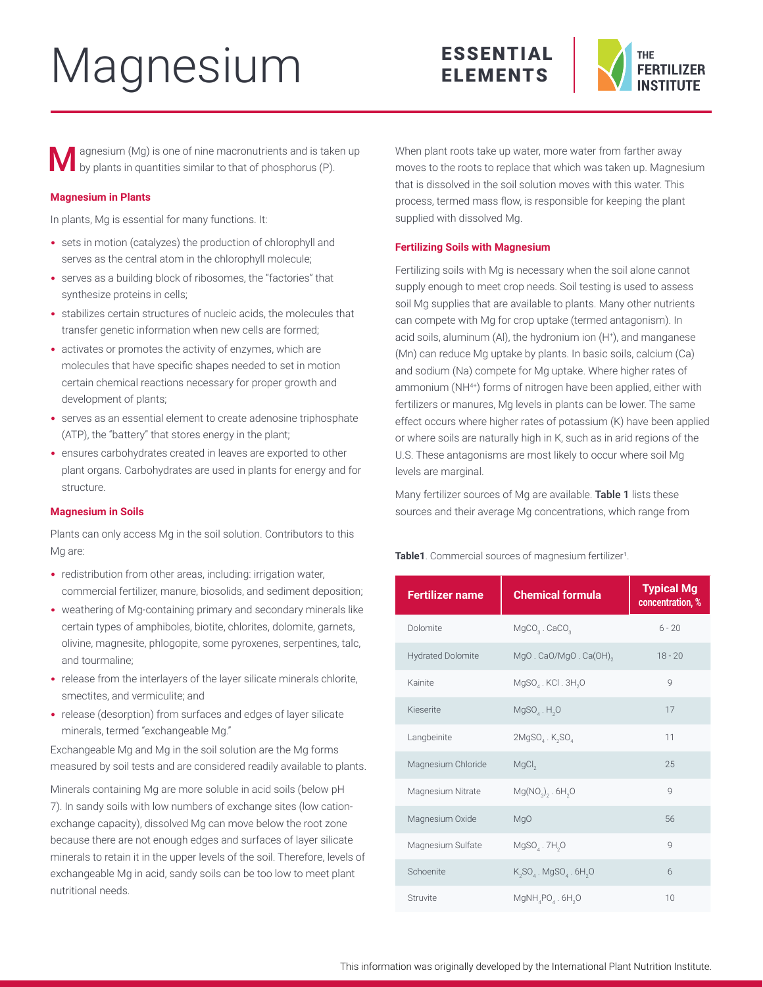# Magnesium

# ESSENTIAL ELEMENTS



agnesium (Mg) is one of nine macronutrients and is taken up by plants in quantities similar to that of phosphorus (P).

## **Magnesium in Plants**

In plants, Mg is essential for many functions. It:

- sets in motion (catalyzes) the production of chlorophyll and serves as the central atom in the chlorophyll molecule;
- serves as a building block of ribosomes, the "factories" that synthesize proteins in cells;
- stabilizes certain structures of nucleic acids, the molecules that transfer genetic information when new cells are formed;
- activates or promotes the activity of enzymes, which are molecules that have specific shapes needed to set in motion certain chemical reactions necessary for proper growth and development of plants;
- serves as an essential element to create adenosine triphosphate (ATP), the "battery" that stores energy in the plant;
- ensures carbohydrates created in leaves are exported to other plant organs. Carbohydrates are used in plants for energy and for structure.

#### **Magnesium in Soils**

Plants can only access Mg in the soil solution. Contributors to this Mg are:

- redistribution from other areas, including: irrigation water, commercial fertilizer, manure, biosolids, and sediment deposition;
- weathering of Mg-containing primary and secondary minerals like certain types of amphiboles, biotite, chlorites, dolomite, garnets, olivine, magnesite, phlogopite, some pyroxenes, serpentines, talc, and tourmaline;
- release from the interlayers of the layer silicate minerals chlorite, smectites, and vermiculite; and
- release (desorption) from surfaces and edges of layer silicate minerals, termed "exchangeable Mg."

Exchangeable Mg and Mg in the soil solution are the Mg forms measured by soil tests and are considered readily available to plants.

Minerals containing Mg are more soluble in acid soils (below pH 7). In sandy soils with low numbers of exchange sites (low cationexchange capacity), dissolved Mg can move below the root zone because there are not enough edges and surfaces of layer silicate minerals to retain it in the upper levels of the soil. Therefore, levels of exchangeable Mg in acid, sandy soils can be too low to meet plant nutritional needs.

When plant roots take up water, more water from farther away moves to the roots to replace that which was taken up. Magnesium that is dissolved in the soil solution moves with this water. This process, termed mass flow, is responsible for keeping the plant supplied with dissolved Mg.

### **Fertilizing Soils with Magnesium**

Fertilizing soils with Mg is necessary when the soil alone cannot supply enough to meet crop needs. Soil testing is used to assess soil Mg supplies that are available to plants. Many other nutrients can compete with Mg for crop uptake (termed antagonism). In acid soils, aluminum (Al), the hydronium ion (H+ ), and manganese (Mn) can reduce Mg uptake by plants. In basic soils, calcium (Ca) and sodium (Na) compete for Mg uptake. Where higher rates of ammonium (NH4+) forms of nitrogen have been applied, either with fertilizers or manures, Mg levels in plants can be lower. The same effect occurs where higher rates of potassium (K) have been applied or where soils are naturally high in K, such as in arid regions of the U.S. These antagonisms are most likely to occur where soil Mg levels are marginal.

Many fertilizer sources of Mg are available. Table 1 lists these sources and their average Mg concentrations, which range from

Table1. Commercial sources of magnesium fertilizer<sup>1</sup>.

| <b>Fertilizer name</b>   | <b>Chemical formula</b>                           | <b>Typical Mg</b><br>concentration, % |
|--------------------------|---------------------------------------------------|---------------------------------------|
| Dolomite                 | $MgCO3$ . CaCO <sub>3</sub>                       | $6 - 20$                              |
| <b>Hydrated Dolomite</b> | MgO. CaO/MgO. Ca(OH) <sub>2</sub>                 | $18 - 20$                             |
| Kainite                  | $MgSO4$ . KCI. 3H <sub>2</sub> O                  | $\mathbf Q$                           |
| Kieserite                | $MgSOa$ . H <sub>2</sub> O                        | 17                                    |
| Langbeinite              | 2MgSO, K <sub>2</sub> SO,                         | 11                                    |
| Magnesium Chloride       | MgCl <sub>2</sub>                                 | 25                                    |
| Magnesium Nitrate        | $Mg(NO2)2$ . 6H <sub>2</sub> O                    | Q                                     |
| Magnesium Oxide          | MgO                                               | 56                                    |
| Magnesium Sulfate        | MgSO <sub>4</sub> .7H <sub>2</sub> O              | Q                                     |
| Schoenite                | $K_2SO_4$ . MgSO <sub>4</sub> . 6H <sub>2</sub> O | $6\overline{6}$                       |
| Struvite                 | $MgNH_{4}PO_{4}$ . 6H <sub>2</sub> O              | 10                                    |